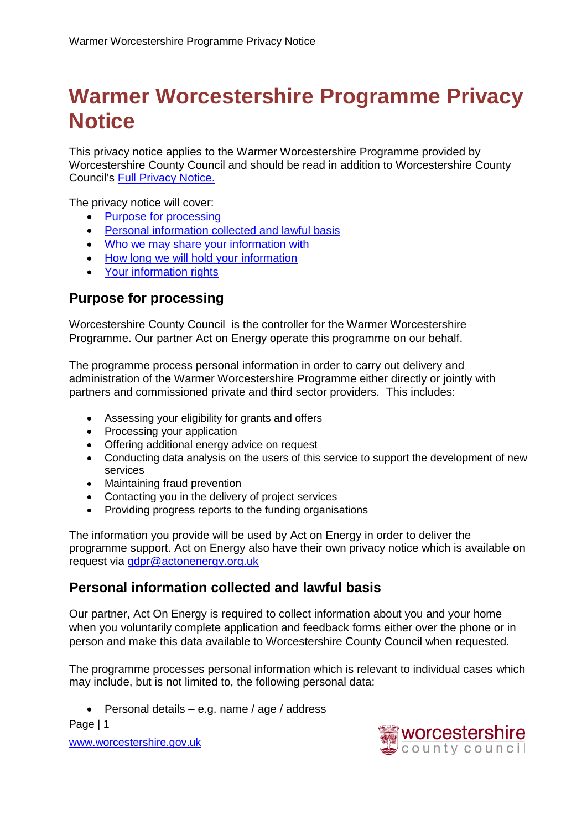# **Warmer Worcestershire Programme Privacy Notice**

This privacy notice applies to the Warmer Worcestershire Programme provided by Worcestershire County Council and should be read in addition to Worcestershire County Council's [Full Privacy Notice.](http://www.worcestershire.gov.uk/info/20569/how_we_use_your_information/1725/full_privacy_noticehttp:/www.worcestershire.gov.uk/info/20569/how_we_use_your_information/1725/full_privacy_notice)

The privacy notice will cover:

- [Purpose for processing](#page-0-0)
- [Personal information collected and lawful basis](#page-0-1)
- [Who we may share your information with](#page-1-0)
- [How long we will hold your information](#page-2-0)
- [Your information rights](#page-2-1)

## <span id="page-0-0"></span>**Purpose for processing**

Worcestershire County Council is the controller for the Warmer Worcestershire Programme. Our partner Act on Energy operate this programme on our behalf.

The programme process personal information in order to carry out delivery and administration of the Warmer Worcestershire Programme either directly or jointly with partners and commissioned private and third sector providers. This includes:

- Assessing your eligibility for grants and offers
- Processing your application
- Offering additional energy advice on request
- Conducting data analysis on the users of this service to support the development of new services
- Maintaining fraud prevention
- Contacting you in the delivery of project services
- Providing progress reports to the funding organisations

The information you provide will be used by Act on Energy in order to deliver the programme support. Act on Energy also have their own privacy notice which is available on request via [gdpr@actonenergy.org.uk](mailto:gdpr@actonenergy.org.uk)

## <span id="page-0-1"></span>**Personal information collected and lawful basis**

Our partner, Act On Energy is required to collect information about you and your home when you voluntarily complete application and feedback forms either over the phone or in person and make this data available to Worcestershire County Council when requested.

The programme processes personal information which is relevant to individual cases which may include, but is not limited to, the following personal data:

 $\bullet$  Personal details – e.g. name / age / address

Page | 1

[www.worcestershire.gov.uk](http://www.worcestershire.gov.uk/)

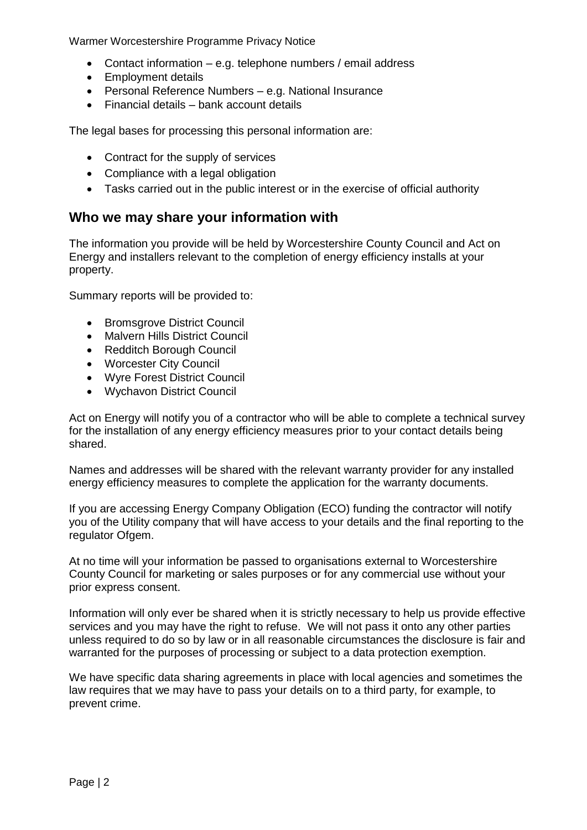Warmer Worcestershire Programme Privacy Notice

- Contact information e.g. telephone numbers / email address
- Employment details
- Personal Reference Numbers e.g. National Insurance
- Financial details bank account details

The legal bases for processing this personal information are:

- <span id="page-1-0"></span>• Contract for the supply of services
- Compliance with a legal obligation
- Tasks carried out in the public interest or in the exercise of official authority

#### **Who we may share your information with**

The information you provide will be held by Worcestershire County Council and Act on Energy and installers relevant to the completion of energy efficiency installs at your property.

Summary reports will be provided to:

- Bromsgrove District Council
- Malvern Hills District Council
- Redditch Borough Council
- Worcester City Council
- Wyre Forest District Council
- Wychavon District Council

Act on Energy will notify you of a contractor who will be able to complete a technical survey for the installation of any energy efficiency measures prior to your contact details being shared.

Names and addresses will be shared with the relevant warranty provider for any installed energy efficiency measures to complete the application for the warranty documents.

If you are accessing Energy Company Obligation (ECO) funding the contractor will notify you of the Utility company that will have access to your details and the final reporting to the regulator Ofgem.

At no time will your information be passed to organisations external to Worcestershire County Council for marketing or sales purposes or for any commercial use without your prior express consent.

Information will only ever be shared when it is strictly necessary to help us provide effective services and you may have the right to refuse. We will not pass it onto any other parties unless required to do so by law or in all reasonable circumstances the disclosure is fair and warranted for the purposes of processing or subject to a data protection exemption.

We have specific data sharing agreements in place with local agencies and sometimes the law requires that we may have to pass your details on to a third party, for example, to prevent crime.